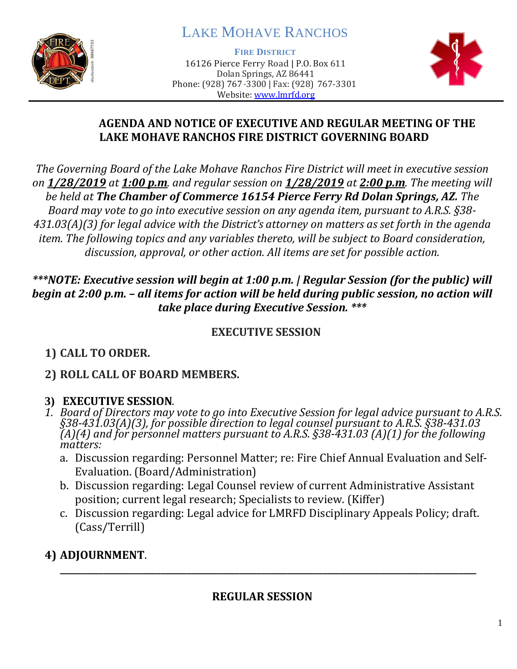

# LAKE MOHAVE RANCHOS

**FIRE DISTRICT**

16126 Pierce Ferry Road | P.O. Box 611 Dolan Springs, AZ 86441 Phone: (928) 767-3300 | Fax: (928) 767-3301 Website: [www.lmrfd.org](http://www.lmrfd.org/)



#### **AGENDA AND NOTICE OF EXECUTIVE AND REGULAR MEETING OF THE LAKE MOHAVE RANCHOS FIRE DISTRICT GOVERNING BOARD**

*The Governing Board of the Lake Mohave Ranchos Fire District will meet in executive session on 1/28/2019 at 1:00 p.m. and regular session on 1/28/2019 at 2:00 p.m. The meeting will be held at The Chamber of Commerce 16154 Pierce Ferry Rd Dolan Springs, AZ. The Board may vote to go into executive session on any agenda item, pursuant to A.R.S. §38- 431.03(A)(3) for legal advice with the District's attorney on matters as set forth in the agenda item. The following topics and any variables thereto, will be subject to Board consideration, discussion, approval, or other action. All items are set for possible action.*

#### *\*\*\*NOTE: Executive session will begin at 1:00 p.m. | Regular Session (for the public) will begin at 2:00 p.m. – all items for action will be held during public session, no action will take place during Executive Session. \*\*\**

### **EXECUTIVE SESSION**

# **1) CALL TO ORDER.**

# **2) ROLL CALL OF BOARD MEMBERS.**

# **3) EXECUTIVE SESSION***.*

- *1. Board of Directors may vote to go into Executive Session for legal advice pursuant to A.R.S. §38-431.03(A)(3), for possible direction to legal counsel pursuant to A.R.S. §38-431.03 (A)(4) and for personnel matters pursuant to A.R.S. §38-431.03 (A)(1) for the following matters:*
	- a. Discussion regarding: Personnel Matter; re: Fire Chief Annual Evaluation and Self-Evaluation. (Board/Administration)
	- b. Discussion regarding: Legal Counsel review of current Administrative Assistant position; current legal research; Specialists to review. (Kiffer)
	- c. Discussion regarding: Legal advice for LMRFD Disciplinary Appeals Policy; draft. (Cass/Terrill)

# **4) ADJOURNMENT**.

# **REGULAR SESSION**

**\_\_\_\_\_\_\_\_\_\_\_\_\_\_\_\_\_\_\_\_\_\_\_\_\_\_\_\_\_\_\_\_\_\_\_\_\_\_\_\_\_\_\_\_\_\_\_\_\_\_\_\_\_\_\_\_\_\_\_\_\_\_\_\_\_\_\_\_\_\_\_\_\_\_\_\_\_\_\_\_\_\_\_\_\_\_\_\_\_\_\_\_\_\_\_**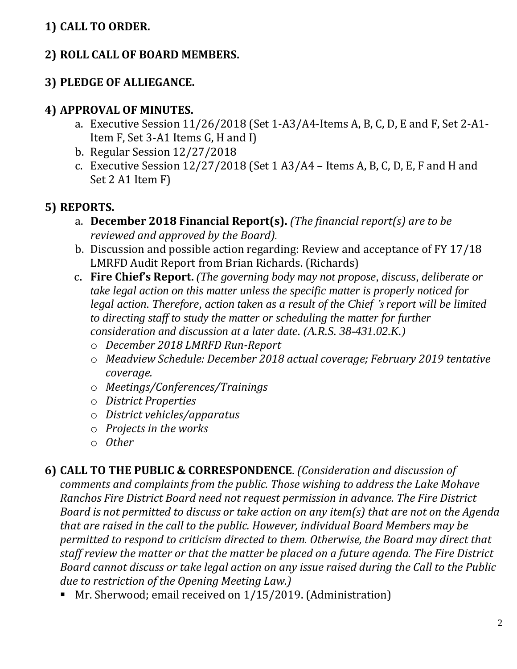### **1) CALL TO ORDER.**

#### **2) ROLL CALL OF BOARD MEMBERS.**

#### **3) PLEDGE OF ALLIEGANCE.**

#### **4) APPROVAL OF MINUTES.**

- a. Executive Session 11/26/2018 (Set 1-A3/A4-Items A, B, C, D, E and F, Set 2-A1- Item F, Set 3-A1 Items G, H and I)
- b. Regular Session 12/27/2018
- c. Executive Session 12/27/2018 (Set 1 A3/A4 Items A, B, C, D, E, F and H and Set 2 A1 Item F)

#### **5) REPORTS.**

- a. **December 2018 Financial Report(s).** *(The financial report(s) are to be reviewed and approved by the Board).*
- b. Discussion and possible action regarding: Review and acceptance of FY 17/18 LMRFD Audit Report from Brian Richards. (Richards)
- c**. Fire Chief's Report.** *(The governing body may not propose, discuss, deliberate or take legal action on this matter unless the specific matter is properly noticed for legal action. Therefore, action taken as a result of the Chief 's report will be limited to directing staff to study the matter or scheduling the matter for further consideration and discussion at a later date. (A.R.S. 38-431.02.K.)*
	- o *December 2018 LMRFD Run-Report*
	- o *Meadview Schedule: December 2018 actual coverage; February 2019 tentative coverage.*
	- o *Meetings/Conferences/Trainings*
	- o *District Properties*
	- o *District vehicles/apparatus*
	- o *Projects in the works*
	- o *Other*

**6) CALL TO THE PUBLIC & CORRESPONDENCE**. *(Consideration and discussion of comments and complaints from the public. Those wishing to address the Lake Mohave Ranchos Fire District Board need not request permission in advance. The Fire District Board is not permitted to discuss or take action on any item(s) that are not on the Agenda that are raised in the call to the public. However, individual Board Members may be permitted to respond to criticism directed to them. Otherwise, the Board may direct that staff review the matter or that the matter be placed on a future agenda. The Fire District Board cannot discuss or take legal action on any issue raised during the Call to the Public due to restriction of the Opening Meeting Law.)*

■ Mr. Sherwood; email received on 1/15/2019. (Administration)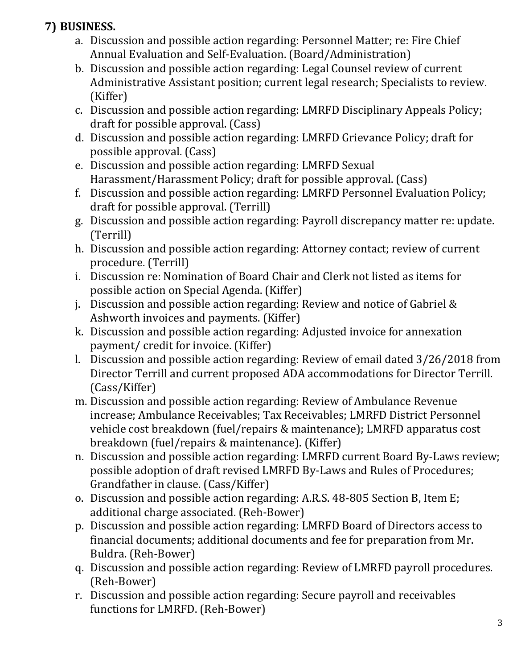# **7) BUSINESS.**

- a. Discussion and possible action regarding: Personnel Matter; re: Fire Chief Annual Evaluation and Self-Evaluation. (Board/Administration)
- b. Discussion and possible action regarding: Legal Counsel review of current Administrative Assistant position; current legal research; Specialists to review. (Kiffer)
- c. Discussion and possible action regarding: LMRFD Disciplinary Appeals Policy; draft for possible approval. (Cass)
- d. Discussion and possible action regarding: LMRFD Grievance Policy; draft for possible approval. (Cass)
- e. Discussion and possible action regarding: LMRFD Sexual Harassment/Harassment Policy; draft for possible approval. (Cass)
- f. Discussion and possible action regarding: LMRFD Personnel Evaluation Policy; draft for possible approval. (Terrill)
- g. Discussion and possible action regarding: Payroll discrepancy matter re: update. (Terrill)
- h. Discussion and possible action regarding: Attorney contact; review of current procedure. (Terrill)
- i. Discussion re: Nomination of Board Chair and Clerk not listed as items for possible action on Special Agenda. (Kiffer)
- j. Discussion and possible action regarding: Review and notice of Gabriel & Ashworth invoices and payments. (Kiffer)
- k. Discussion and possible action regarding: Adjusted invoice for annexation payment/ credit for invoice. (Kiffer)
- l. Discussion and possible action regarding: Review of email dated 3/26/2018 from Director Terrill and current proposed ADA accommodations for Director Terrill. (Cass/Kiffer)
- m. Discussion and possible action regarding: Review of Ambulance Revenue increase; Ambulance Receivables; Tax Receivables; LMRFD District Personnel vehicle cost breakdown (fuel/repairs & maintenance); LMRFD apparatus cost breakdown (fuel/repairs & maintenance). (Kiffer)
- n. Discussion and possible action regarding: LMRFD current Board By-Laws review; possible adoption of draft revised LMRFD By-Laws and Rules of Procedures; Grandfather in clause. (Cass/Kiffer)
- o. Discussion and possible action regarding: A.R.S. 48-805 Section B, Item E; additional charge associated. (Reh-Bower)
- p. Discussion and possible action regarding: LMRFD Board of Directors access to financial documents; additional documents and fee for preparation from Mr. Buldra. (Reh-Bower)
- q. Discussion and possible action regarding: Review of LMRFD payroll procedures. (Reh-Bower)
- r. Discussion and possible action regarding: Secure payroll and receivables functions for LMRFD. (Reh-Bower)